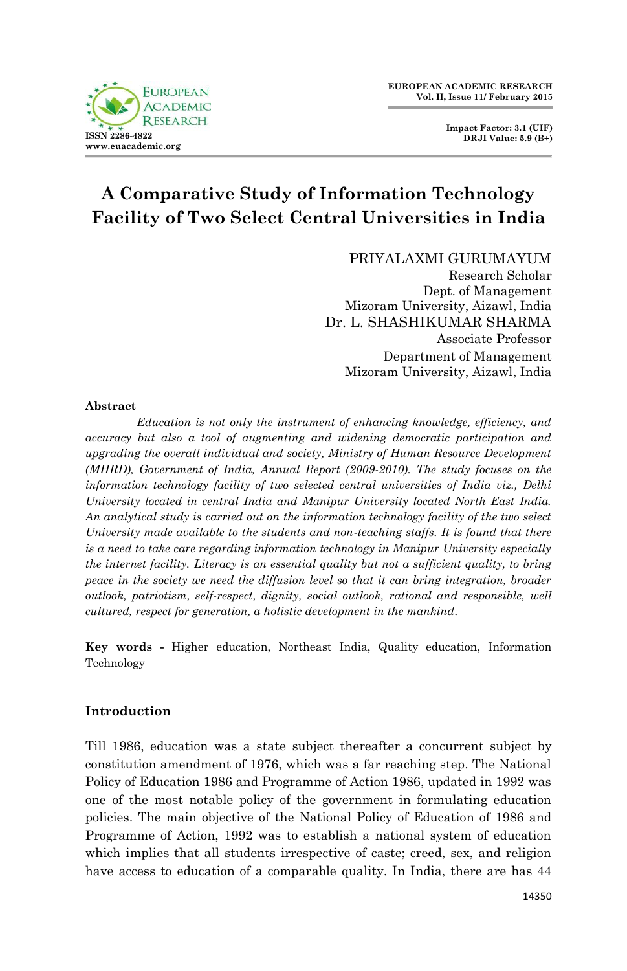

**Impact Factor: 3.1 (UIF) DRJI Value: 5.9 (B+)**

# **A Comparative Study of Information Technology Facility of Two Select Central Universities in India**

PRIYALAXMI GURUMAYUM

Research Scholar Dept. of Management Mizoram University, Aizawl, India Dr. L. SHASHIKUMAR SHARMA Associate Professor Department of Management Mizoram University, Aizawl, India

#### **Abstract**

*Education is not only the instrument of enhancing knowledge, efficiency, and accuracy but also a tool of augmenting and widening democratic participation and upgrading the overall individual and society, Ministry of Human Resource Development (MHRD), Government of India, Annual Report (2009-2010). The study focuses on the information technology facility of two selected central universities of India viz., Delhi University located in central India and Manipur University located North East India. An analytical study is carried out on the information technology facility of the two select University made available to the students and non-teaching staffs. It is found that there is a need to take care regarding information technology in Manipur University especially the internet facility. Literacy is an essential quality but not a sufficient quality, to bring peace in the society we need the diffusion level so that it can bring integration, broader outlook, patriotism, self-respect, dignity, social outlook, rational and responsible, well cultured, respect for generation, a holistic development in the mankind.*

**Key words -** Higher education, Northeast India, Quality education, Information Technology

# **Introduction**

Till 1986, education was a state subject thereafter a concurrent subject by constitution amendment of 1976, which was a far reaching step. The National Policy of Education 1986 and Programme of Action 1986, updated in 1992 was one of the most notable policy of the government in formulating education policies. The main objective of the National Policy of Education of 1986 and Programme of Action, 1992 was to establish a national system of education which implies that all students irrespective of caste; creed, sex, and religion have access to education of a comparable quality. In India, there are has 44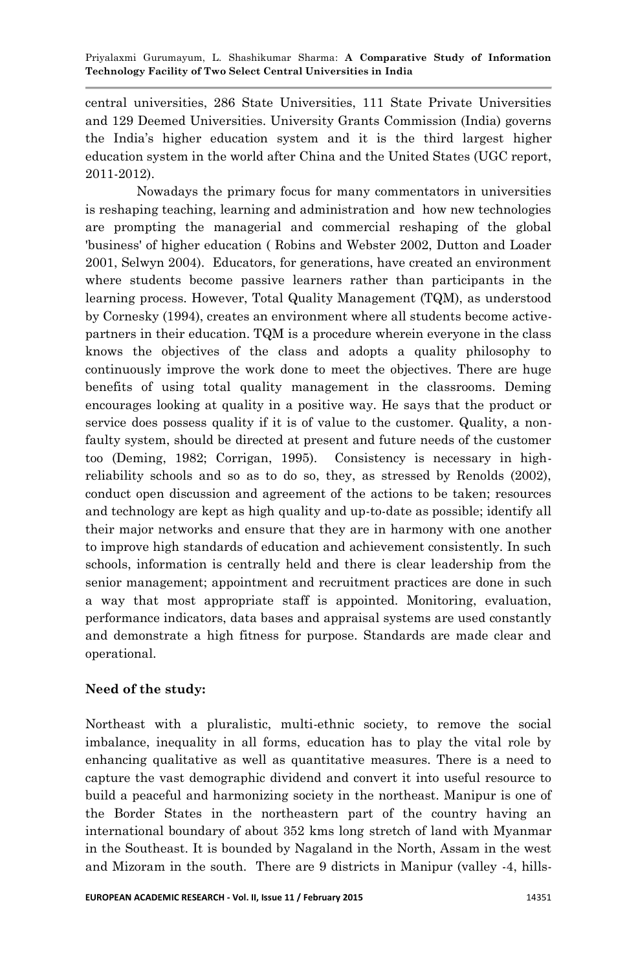central universities, 286 State Universities, 111 State Private Universities and 129 Deemed Universities. University Grants Commission (India) governs the India's higher education system and it is the third largest higher education system in the world after China and the United States (UGC report, 2011-2012).

Nowadays the primary focus for many commentators in universities is reshaping teaching, learning and administration and how new technologies are prompting the managerial and commercial reshaping of the global 'business' of higher education ( Robins and Webster 2002, Dutton and Loader 2001, Selwyn 2004). Educators, for generations, have created an environment where students become passive learners rather than participants in the learning process. However, Total Quality Management (TQM), as understood by Cornesky (1994), creates an environment where all students become activepartners in their education. TQM is a procedure wherein everyone in the class knows the objectives of the class and adopts a quality philosophy to continuously improve the work done to meet the objectives. There are huge benefits of using total quality management in the classrooms. Deming encourages looking at quality in a positive way. He says that the product or service does possess quality if it is of value to the customer. Quality, a nonfaulty system, should be directed at present and future needs of the customer too (Deming, 1982; Corrigan, 1995). Consistency is necessary in highreliability schools and so as to do so, they, as stressed by Renolds (2002), conduct open discussion and agreement of the actions to be taken; resources and technology are kept as high quality and up-to-date as possible; identify all their major networks and ensure that they are in harmony with one another to improve high standards of education and achievement consistently. In such schools, information is centrally held and there is clear leadership from the senior management; appointment and recruitment practices are done in such a way that most appropriate staff is appointed. Monitoring, evaluation, performance indicators, data bases and appraisal systems are used constantly and demonstrate a high fitness for purpose. Standards are made clear and operational.

# **Need of the study:**

Northeast with a pluralistic, multi-ethnic society, to remove the social imbalance, inequality in all forms, education has to play the vital role by enhancing qualitative as well as quantitative measures. There is a need to capture the vast demographic dividend and convert it into useful resource to build a peaceful and harmonizing society in the northeast. Manipur is one of the Border States in the northeastern part of the country having an international boundary of about 352 kms long stretch of land with Myanmar in the Southeast. It is bounded by Nagaland in the North, Assam in the west and Mizoram in the south. There are 9 districts in Manipur (valley -4, hills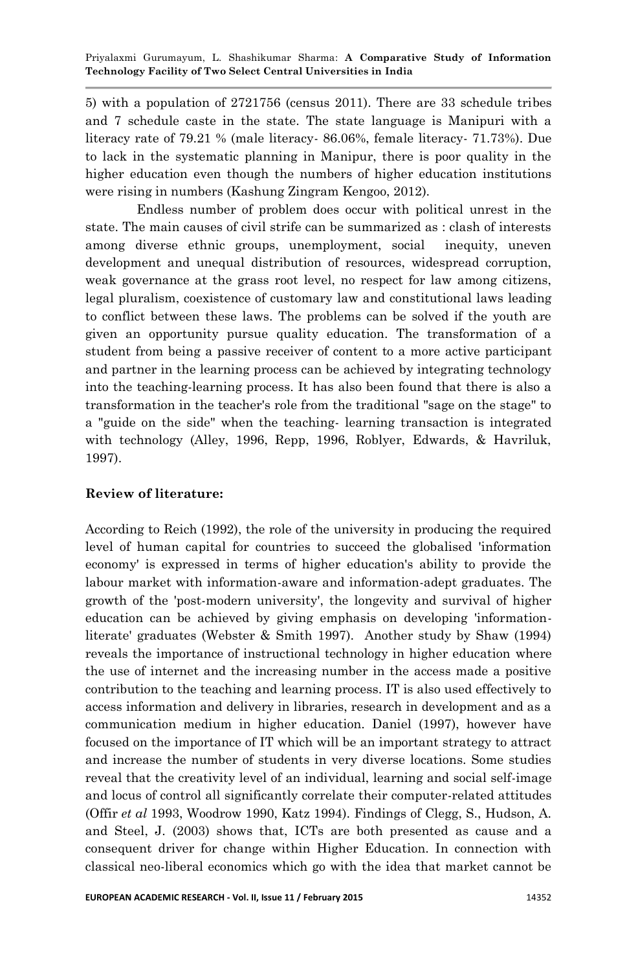5) with a population of 2721756 (census 2011). There are 33 schedule tribes and 7 schedule caste in the state. The state language is Manipuri with a literacy rate of 79.21 % (male literacy- 86.06%, female literacy- 71.73%). Due to lack in the systematic planning in Manipur, there is poor quality in the higher education even though the numbers of higher education institutions were rising in numbers (Kashung Zingram Kengoo, 2012).

Endless number of problem does occur with political unrest in the state. The main causes of civil strife can be summarized as : clash of interests among diverse ethnic groups, unemployment, social inequity, uneven development and unequal distribution of resources, widespread corruption, weak governance at the grass root level, no respect for law among citizens, legal pluralism, coexistence of customary law and constitutional laws leading to conflict between these laws. The problems can be solved if the youth are given an opportunity pursue quality education. The transformation of a student from being a passive receiver of content to a more active participant and partner in the learning process can be achieved by integrating technology into the teaching-learning process. It has also been found that there is also a transformation in the teacher's role from the traditional "sage on the stage" to a "guide on the side" when the teaching- learning transaction is integrated with technology (Alley, 1996, Repp, 1996, Roblyer, Edwards, & Havriluk, 1997).

# **Review of literature:**

According to Reich (1992), the role of the university in producing the required level of human capital for countries to succeed the globalised 'information economy' is expressed in terms of higher education's ability to provide the labour market with information-aware and information-adept graduates. The growth of the 'post-modern university', the longevity and survival of higher education can be achieved by giving emphasis on developing 'informationliterate' graduates (Webster & Smith 1997). Another study by Shaw (1994) reveals the importance of instructional technology in higher education where the use of internet and the increasing number in the access made a positive contribution to the teaching and learning process. IT is also used effectively to access information and delivery in libraries, research in development and as a communication medium in higher education. Daniel (1997), however have focused on the importance of IT which will be an important strategy to attract and increase the number of students in very diverse locations. Some studies reveal that the creativity level of an individual, learning and social self-image and locus of control all significantly correlate their computer-related attitudes (Offir *et al* 1993, Woodrow 1990, Katz 1994). Findings of Clegg, S., Hudson, A. and Steel, J. (2003) shows that, ICTs are both presented as cause and a consequent driver for change within Higher Education. In connection with classical neo-liberal economics which go with the idea that market cannot be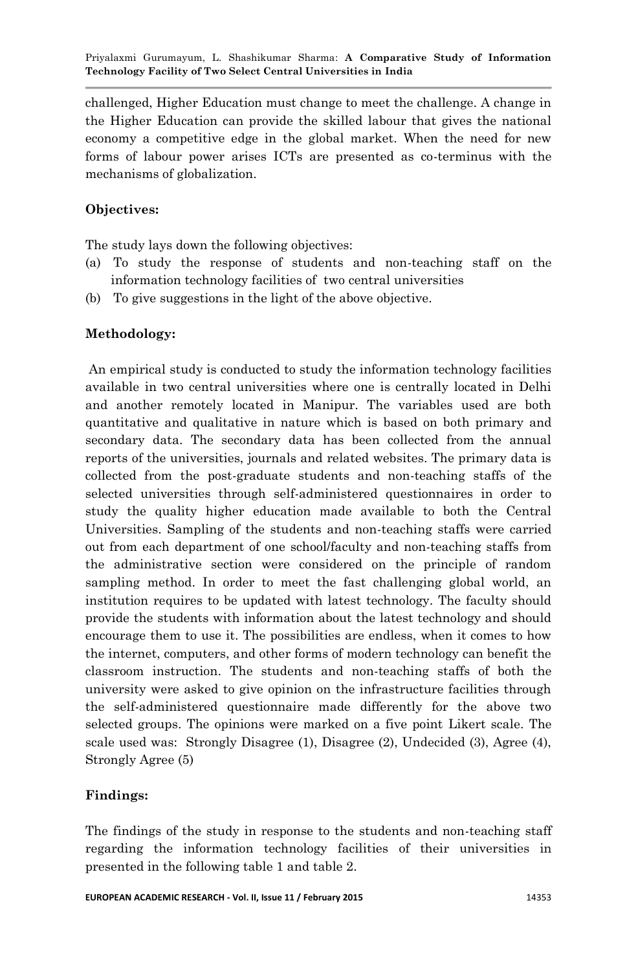challenged, Higher Education must change to meet the challenge. A change in the Higher Education can provide the skilled labour that gives the national economy a competitive edge in the global market. When the need for new forms of labour power arises ICTs are presented as co-terminus with the mechanisms of globalization.

## **Objectives:**

The study lays down the following objectives:

- (a) To study the response of students and non-teaching staff on the information technology facilities of two central universities
- (b) To give suggestions in the light of the above objective.

### **Methodology:**

An empirical study is conducted to study the information technology facilities available in two central universities where one is centrally located in Delhi and another remotely located in Manipur. The variables used are both quantitative and qualitative in nature which is based on both primary and secondary data. The secondary data has been collected from the annual reports of the universities, journals and related websites. The primary data is collected from the post-graduate students and non-teaching staffs of the selected universities through self-administered questionnaires in order to study the quality higher education made available to both the Central Universities. Sampling of the students and non-teaching staffs were carried out from each department of one school/faculty and non-teaching staffs from the administrative section were considered on the principle of random sampling method. In order to meet the fast challenging global world, an institution requires to be updated with latest technology. The faculty should provide the students with information about the latest technology and should encourage them to use it. The possibilities are endless, when it comes to how the internet, computers, and other forms of modern technology can benefit the classroom instruction. The students and non-teaching staffs of both the university were asked to give opinion on the infrastructure facilities through the self-administered questionnaire made differently for the above two selected groups. The opinions were marked on a five point Likert scale. The scale used was: Strongly Disagree (1), Disagree (2), Undecided (3), Agree (4), Strongly Agree (5)

### **Findings:**

The findings of the study in response to the students and non-teaching staff regarding the information technology facilities of their universities in presented in the following table 1 and table 2.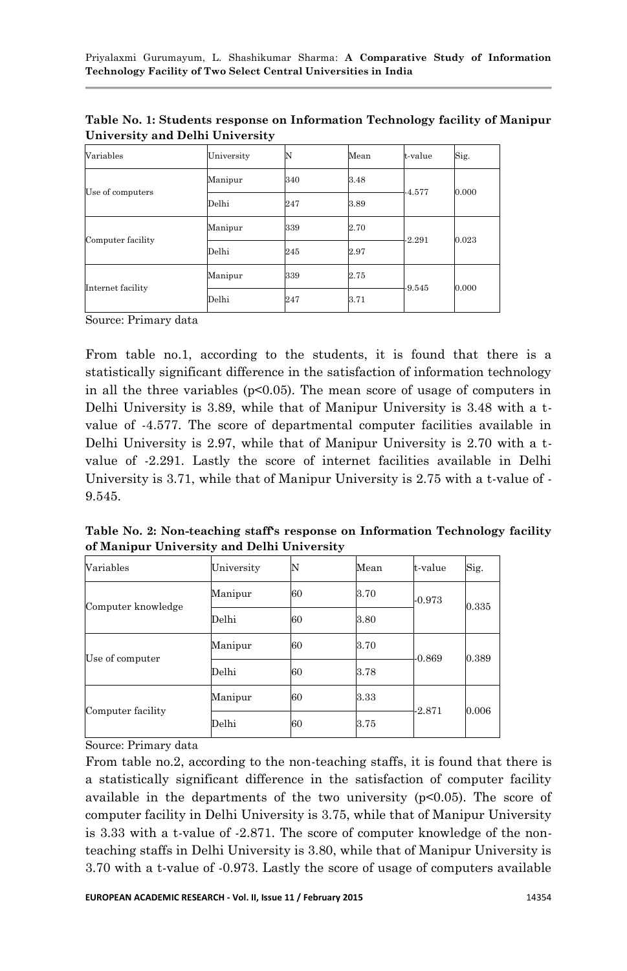| Variables         | University | N   | Mean | t-value  | Sig.  |
|-------------------|------------|-----|------|----------|-------|
| Use of computers  | Manipur    | 340 | 3.48 | $-4.577$ | 0.000 |
|                   | Delhi      | 247 | 3.89 |          |       |
| Computer facility | Manipur    | 339 | 2.70 | $-2.291$ | 0.023 |
|                   | Delhi      | 245 | 2.97 |          |       |
| Internet facility | Manipur    | 339 | 2.75 | $-9.545$ | 0.000 |
|                   | Delhi      | 247 | 3.71 |          |       |

**Table No. 1: Students response on Information Technology facility of Manipur University and Delhi University**

Source: Primary data

From table no.1, according to the students, it is found that there is a statistically significant difference in the satisfaction of information technology in all the three variables ( $p<0.05$ ). The mean score of usage of computers in Delhi University is 3.89, while that of Manipur University is 3.48 with a tvalue of -4.577. The score of departmental computer facilities available in Delhi University is 2.97, while that of Manipur University is 2.70 with a tvalue of -2.291. Lastly the score of internet facilities available in Delhi University is 3.71, while that of Manipur University is 2.75 with a t-value of - 9.545.

**Table No. 2: Non-teaching staff's response on Information Technology facility of Manipur University and Delhi University**

| Variables          | University |    | Mean | t-value  | Sig.  |
|--------------------|------------|----|------|----------|-------|
| Computer knowledge | Manipur    | 60 | 3.70 | $-0.973$ | 0.335 |
|                    | Delhi      | 60 | 3.80 |          |       |
| Use of computer    | Manipur    | 60 | 3.70 | $-0.869$ | 0.389 |
|                    | Delhi      | 60 | 3.78 |          |       |
| Computer facility  | Manipur    | 60 | 3.33 | $-2.871$ | 0.006 |
|                    | Delhi      | 60 | 3.75 |          |       |

Source: Primary data

From table no.2, according to the non-teaching staffs, it is found that there is a statistically significant difference in the satisfaction of computer facility available in the departments of the two university  $(p<0.05)$ . The score of computer facility in Delhi University is 3.75, while that of Manipur University is 3.33 with a t-value of -2.871. The score of computer knowledge of the nonteaching staffs in Delhi University is 3.80, while that of Manipur University is 3.70 with a t-value of -0.973. Lastly the score of usage of computers available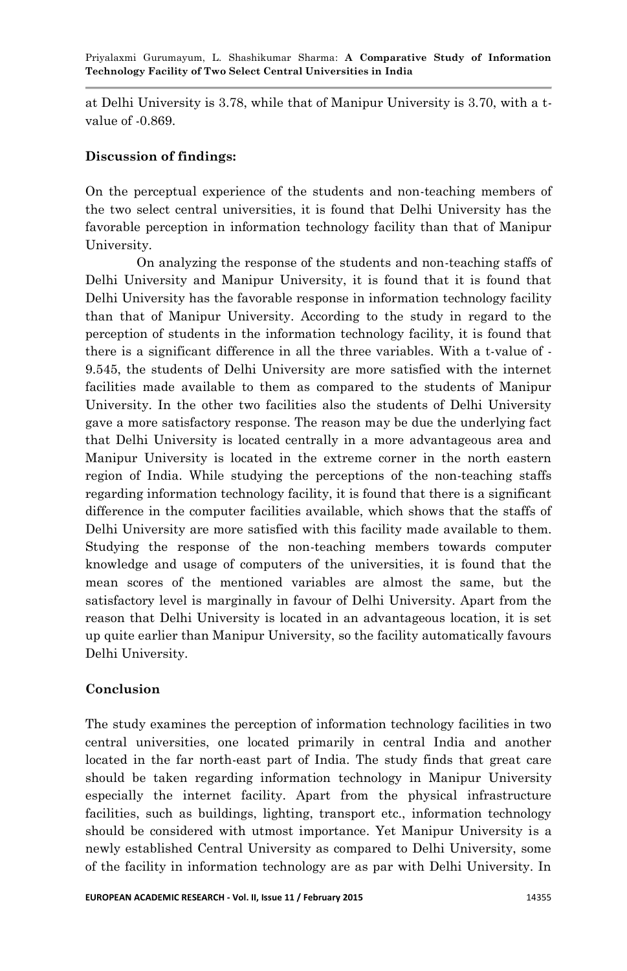at Delhi University is 3.78, while that of Manipur University is 3.70, with a tvalue of -0.869.

### **Discussion of findings:**

On the perceptual experience of the students and non-teaching members of the two select central universities, it is found that Delhi University has the favorable perception in information technology facility than that of Manipur University.

On analyzing the response of the students and non-teaching staffs of Delhi University and Manipur University, it is found that it is found that Delhi University has the favorable response in information technology facility than that of Manipur University. According to the study in regard to the perception of students in the information technology facility, it is found that there is a significant difference in all the three variables. With a t-value of - 9.545, the students of Delhi University are more satisfied with the internet facilities made available to them as compared to the students of Manipur University. In the other two facilities also the students of Delhi University gave a more satisfactory response. The reason may be due the underlying fact that Delhi University is located centrally in a more advantageous area and Manipur University is located in the extreme corner in the north eastern region of India. While studying the perceptions of the non-teaching staffs regarding information technology facility, it is found that there is a significant difference in the computer facilities available, which shows that the staffs of Delhi University are more satisfied with this facility made available to them. Studying the response of the non-teaching members towards computer knowledge and usage of computers of the universities, it is found that the mean scores of the mentioned variables are almost the same, but the satisfactory level is marginally in favour of Delhi University. Apart from the reason that Delhi University is located in an advantageous location, it is set up quite earlier than Manipur University, so the facility automatically favours Delhi University.

# **Conclusion**

The study examines the perception of information technology facilities in two central universities, one located primarily in central India and another located in the far north-east part of India. The study finds that great care should be taken regarding information technology in Manipur University especially the internet facility. Apart from the physical infrastructure facilities, such as buildings, lighting, transport etc., information technology should be considered with utmost importance. Yet Manipur University is a newly established Central University as compared to Delhi University, some of the facility in information technology are as par with Delhi University. In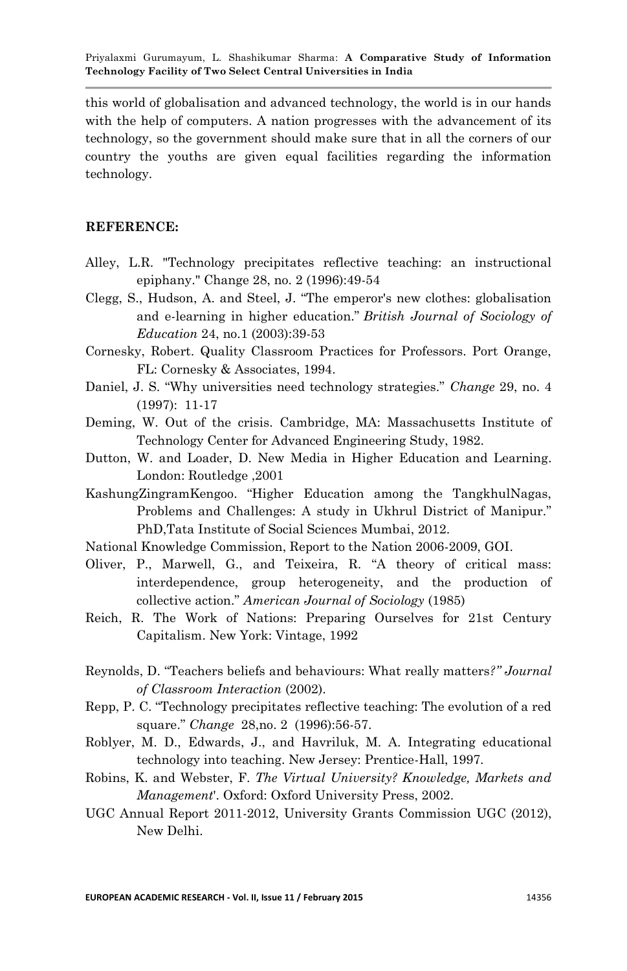this world of globalisation and advanced technology, the world is in our hands with the help of computers. A nation progresses with the advancement of its technology, so the government should make sure that in all the corners of our country the youths are given equal facilities regarding the information technology.

#### **REFERENCE:**

- Alley, L.R. "Technology precipitates reflective teaching: an instructional epiphany." Change 28, no. 2 (1996):49-54
- Clegg, S., Hudson, A. and Steel, J. "The emperor's new clothes: globalisation and e-learning in higher education." *British Journal of Sociology of Education* 24, no.1 (2003):39-53
- Cornesky, Robert. Quality Classroom Practices for Professors. Port Orange, FL: Cornesky & Associates, 1994.
- Daniel, J. S. "Why universities need technology strategies." *Change* 29, no. 4 (1997): 11-17
- Deming, W. Out of the crisis. Cambridge, MA: Massachusetts Institute of Technology Center for Advanced Engineering Study, 1982.
- Dutton, W. and Loader, D. New Media in Higher Education and Learning. London: Routledge ,2001
- KashungZingramKengoo. "Higher Education among the TangkhulNagas, Problems and Challenges: A study in Ukhrul District of Manipur." PhD,Tata Institute of Social Sciences Mumbai, 2012.
- National Knowledge Commission, Report to the Nation 2006-2009, GOI.
- Oliver, P., Marwell, G., and Teixeira, R. "A theory of critical mass: interdependence, group heterogeneity, and the production of collective action." *American Journal of Sociology* (1985)
- Reich, R. The Work of Nations: Preparing Ourselves for 21st Century Capitalism. New York: Vintage, 1992
- Reynolds, D. "Teachers beliefs and behaviours: What really matters*?" Journal of Classroom Interaction* (2002).
- Repp, P. C. "Technology precipitates reflective teaching: The evolution of a red square." *Change* 28,no. 2 (1996):56-57.
- Roblyer, M. D., Edwards, J., and Havriluk, M. A. Integrating educational technology into teaching. New Jersey: Prentice-Hall, 1997.
- Robins, K. and Webster, F. *The Virtual University? Knowledge, Markets and Management*'. Oxford: Oxford University Press, 2002.
- UGC Annual Report 2011-2012, University Grants Commission UGC (2012), New Delhi.